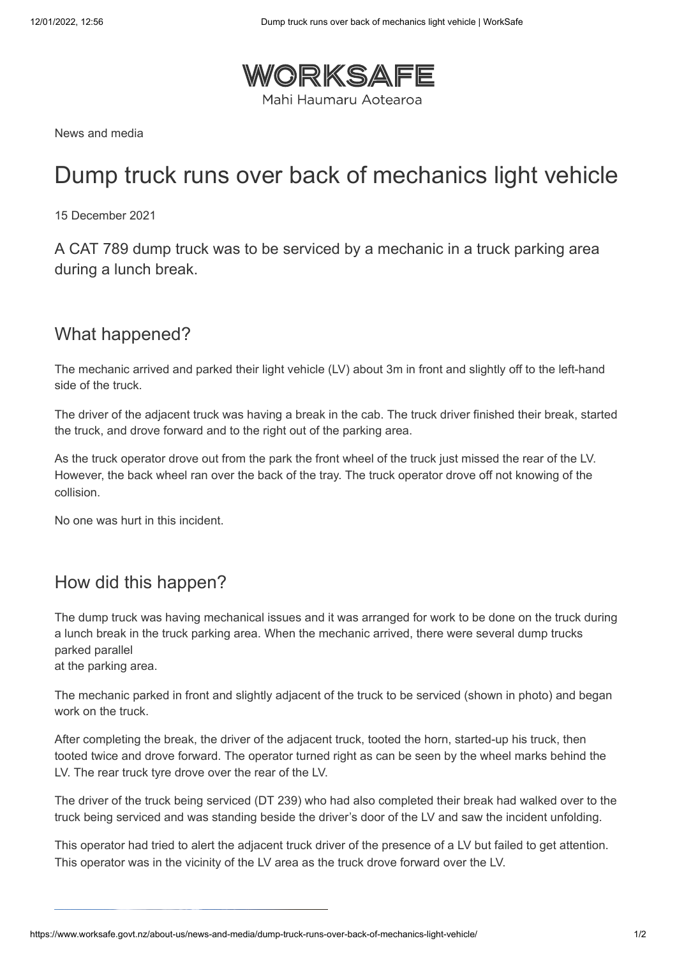

News and media

# Dump truck runs over back of mechanics light vehicle

15 December 2021

A CAT 789 dump truck was to be serviced by a mechanic in a truck parking area during a lunch break.

#### What happened?

The mechanic arrived and parked their light vehicle (LV) about 3m in front and slightly off to the left-hand side of the truck.

The driver of the adjacent truck was having a break in the cab. The truck driver finished their break, started the truck, and drove forward and to the right out of the parking area.

As the truck operator drove out from the park the front wheel of the truck just missed the rear of the LV. However, the back wheel ran over the back of the tray. The truck operator drove off not knowing of the collision.

No one was hurt in this incident.

### How did this happen?

The dump truck was having mechanical issues and it was arranged for work to be done on the truck during a lunch break in the truck parking area. When the mechanic arrived, there were several dump trucks parked parallel

at the parking area.

The mechanic parked in front and slightly adjacent of the truck to be serviced (shown in photo) and began work on the truck.

After completing the break, the driver of the adjacent truck, tooted the horn, started-up his truck, then tooted twice and drove forward. The operator turned right as can be seen by the wheel marks behind the LV. The rear truck tyre drove over the rear of the LV.

The driver of the truck being serviced (DT 239) who had also completed their break had walked over to the truck being serviced and was standing beside the driver's door of the LV and saw the incident unfolding.

This operator had tried to alert the adjacent truck driver of the presence of a LV but failed to get attention. This operator was in the vicinity of the LV area as the truck drove forward over the LV.